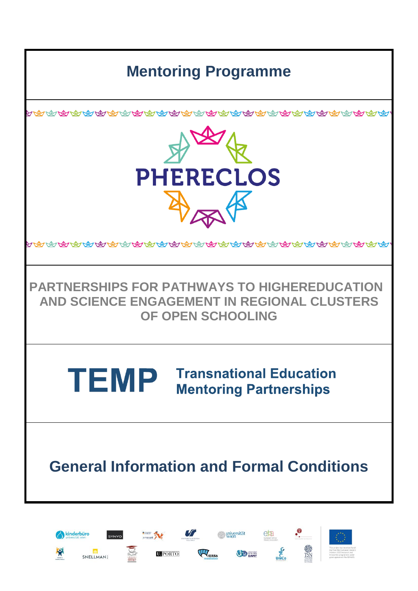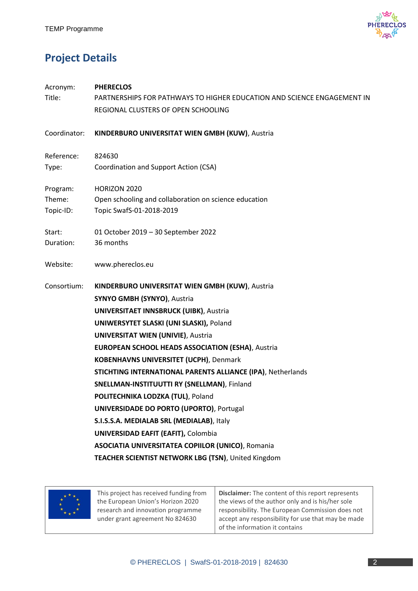

# **Project Details**

| Acronym:     | <b>PHERECLOS</b>                                                        |  |  |  |  |
|--------------|-------------------------------------------------------------------------|--|--|--|--|
| Title:       | PARTNERSHIPS FOR PATHWAYS TO HIGHER EDUCATION AND SCIENCE ENGAGEMENT IN |  |  |  |  |
|              | REGIONAL CLUSTERS OF OPEN SCHOOLING                                     |  |  |  |  |
| Coordinator: | KINDERBURO UNIVERSITAT WIEN GMBH (KUW), Austria                         |  |  |  |  |
| Reference:   | 824630                                                                  |  |  |  |  |
| Type:        | Coordination and Support Action (CSA)                                   |  |  |  |  |
| Program:     | HORIZON 2020                                                            |  |  |  |  |
| Theme:       | Open schooling and collaboration on science education                   |  |  |  |  |
| Topic-ID:    | Topic SwafS-01-2018-2019                                                |  |  |  |  |
| Start:       | 01 October 2019 - 30 September 2022                                     |  |  |  |  |
| Duration:    | 36 months                                                               |  |  |  |  |
| Website:     | www.phereclos.eu                                                        |  |  |  |  |
| Consortium:  | KINDERBURO UNIVERSITAT WIEN GMBH (KUW), Austria                         |  |  |  |  |
|              | SYNYO GMBH (SYNYO), Austria                                             |  |  |  |  |
|              | <b>UNIVERSITAET INNSBRUCK (UIBK), Austria</b>                           |  |  |  |  |
|              | UNIWERSYTET SLASKI (UNI SLASKI), Poland                                 |  |  |  |  |
|              | <b>UNIVERSITAT WIEN (UNIVIE), Austria</b>                               |  |  |  |  |
|              | <b>EUROPEAN SCHOOL HEADS ASSOCIATION (ESHA), Austria</b>                |  |  |  |  |
|              | <b>KOBENHAVNS UNIVERSITET (UCPH)</b> , Denmark                          |  |  |  |  |
|              | STICHTING INTERNATIONAL PARENTS ALLIANCE (IPA), Netherlands             |  |  |  |  |
|              | SNELLMAN-INSTITUUTTI RY (SNELLMAN), Finland                             |  |  |  |  |
|              | POLITECHNIKA LODZKA (TUL), Poland                                       |  |  |  |  |
|              | <b>UNIVERSIDADE DO PORTO (UPORTO), Portugal</b>                         |  |  |  |  |
|              | S.I.S.S.A. MEDIALAB SRL (MEDIALAB), Italy                               |  |  |  |  |
|              | <b>UNIVERSIDAD EAFIT (EAFIT), Colombia</b>                              |  |  |  |  |
|              | <b>ASOCIATIA UNIVERSITATEA COPIILOR (UNICO), Romania</b>                |  |  |  |  |
|              | TEACHER SCIENTIST NETWORK LBG (TSN), United Kingdom                     |  |  |  |  |



This project has received funding from the European Union's Horizon 2020 research and innovation programme under grant agreement No 824630

**Disclaimer:** The content of this report represents the views of the author only and is his/her sole responsibility. The European Commission does not accept any responsibility for use that may be made of the information it contains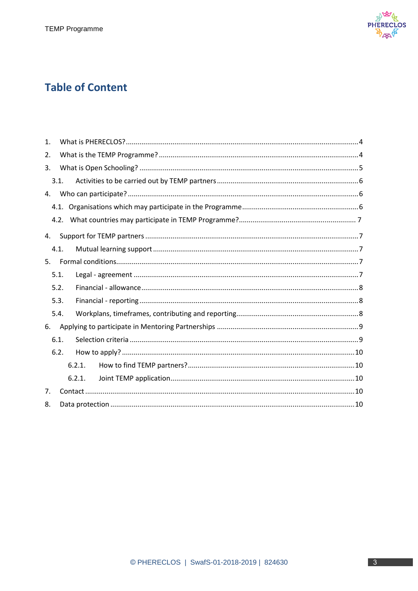

# **Table of Content**

| $\mathbf{1}$ . |  |  |  |  |
|----------------|--|--|--|--|
| 2.             |  |  |  |  |
| 3.             |  |  |  |  |
| 3.1.           |  |  |  |  |
| 4.             |  |  |  |  |
|                |  |  |  |  |
| 4.2.           |  |  |  |  |
| 4.             |  |  |  |  |
| 4.1.           |  |  |  |  |
| 5.             |  |  |  |  |
| 5.1.           |  |  |  |  |
| 5.2.           |  |  |  |  |
| 5.3.           |  |  |  |  |
| 5.4.           |  |  |  |  |
| 6.             |  |  |  |  |
| 6.1.           |  |  |  |  |
| 6.2.           |  |  |  |  |
| 6.2.1.         |  |  |  |  |
| 6.2.1.         |  |  |  |  |
| 7.             |  |  |  |  |
| 8.             |  |  |  |  |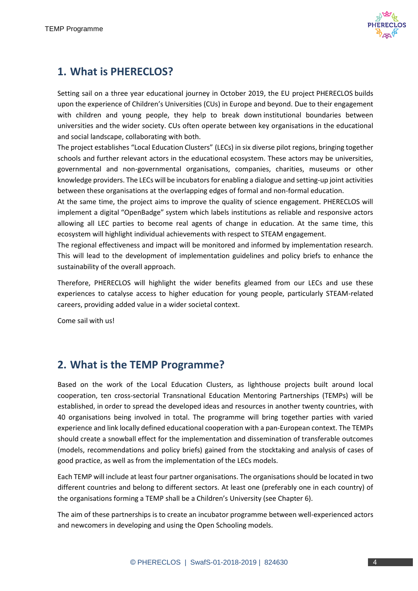

# **1. What is PHERECLOS?**

Setting sail on a three year educational journey in October 2019, the EU project PHERECLOS builds upon the experience of Children's Universities (CUs) in Europe and beyond. Due to their engagement with children and young people, they help to break down institutional boundaries between universities and the wider society. CUs often operate between key organisations in the educational and social landscape, collaborating with both.

The project establishes "Local Education Clusters" (LECs) in six diverse pilot regions, bringing together schools and further relevant actors in the educational ecosystem. These actors may be universities, governmental and non-governmental organisations, companies, charities, museums or other knowledge providers. The LECs will be incubators for enabling a dialogue and setting-up joint activities between these organisations at the overlapping edges of formal and non-formal education.

At the same time, the project aims to improve the quality of science engagement. PHERECLOS will implement a digital "OpenBadge" system which labels institutions as reliable and responsive actors allowing all LEC parties to become real agents of change in education. At the same time, this ecosystem will highlight individual achievements with respect to STEAM engagement.

The regional effectiveness and impact will be monitored and informed by implementation research. This will lead to the development of implementation guidelines and policy briefs to enhance the sustainability of the overall approach.

Therefore, PHERECLOS will highlight the wider benefits gleamed from our LECs and use these experiences to catalyse access to higher education for young people, particularly STEAM-related careers, providing added value in a wider societal context.

Come sail with us!

# **2. What is the TEMP Programme?**

Based on the work of the Local Education Clusters, as lighthouse projects built around local cooperation, ten cross-sectorial Transnational Education Mentoring Partnerships (TEMPs) will be established, in order to spread the developed ideas and resources in another twenty countries, with 40 organisations being involved in total. The programme will bring together parties with varied experience and link locally defined educational cooperation with a pan-European context. The TEMPs should create a snowball effect for the implementation and dissemination of transferable outcomes (models, recommendations and policy briefs) gained from the stocktaking and analysis of cases of good practice, as well as from the implementation of the LECs models.

Each TEMP will include at least four partner organisations. The organisations should be located in two different countries and belong to different sectors. At least one (preferably one in each country) of the organisations forming a TEMP shall be a Children's University (see Chapter 6).

The aim of these partnerships is to create an incubator programme between well-experienced actors and newcomers in developing and using the Open Schooling models.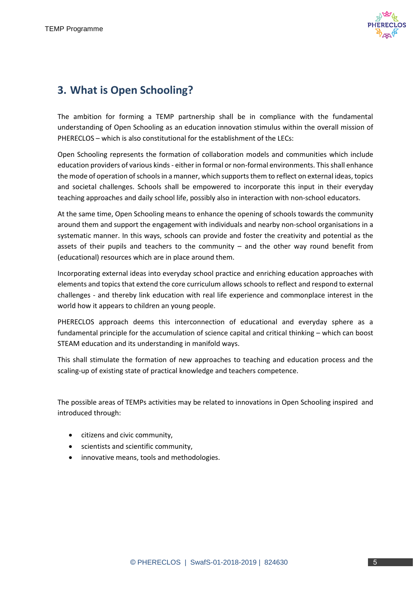

## **3. What is Open Schooling?**

The ambition for forming a TEMP partnership shall be in compliance with the fundamental understanding of Open Schooling as an education innovation stimulus within the overall mission of PHERECLOS – which is also constitutional for the establishment of the LECs:

Open Schooling represents the formation of collaboration models and communities which include education providers of various kinds - either in formal or non-formal environments. This shall enhance the mode of operation of schools in a manner, which supports them to reflect on external ideas, topics and societal challenges. Schools shall be empowered to incorporate this input in their everyday teaching approaches and daily school life, possibly also in interaction with non-school educators.

At the same time, Open Schooling means to enhance the opening of schools towards the community around them and support the engagement with individuals and nearby non-school organisations in a systematic manner. In this ways, schools can provide and foster the creativity and potential as the assets of their pupils and teachers to the community – and the other way round benefit from (educational) resources which are in place around them.

Incorporating external ideas into everyday school practice and enriching education approaches with elements and topics that extend the core curriculum allows schools to reflect and respond to external challenges - and thereby link education with real life experience and commonplace interest in the world how it appears to children an young people.

PHERECLOS approach deems this interconnection of educational and everyday sphere as a fundamental principle for the accumulation of science capital and critical thinking – which can boost STEAM education and its understanding in manifold ways.

This shall stimulate the formation of new approaches to teaching and education process and the scaling-up of existing state of practical knowledge and teachers competence.

The possible areas of TEMPs activities may be related to innovations in Open Schooling inspired and introduced through:

- citizens and civic community,
- scientists and scientific community,
- innovative means, tools and methodologies.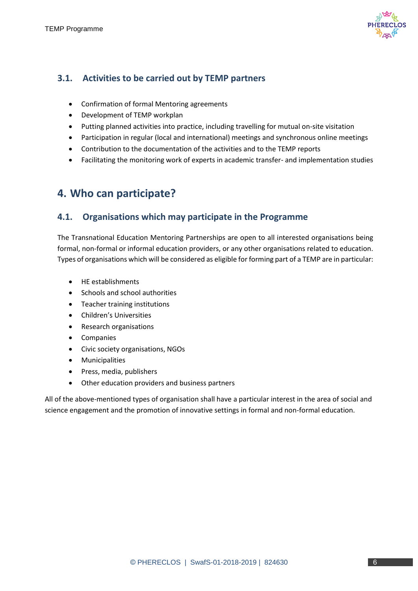

### **3.1. Activities to be carried out by TEMP partners**

- Confirmation of formal Mentoring agreements
- Development of TEMP workplan
- Putting planned activities into practice, including travelling for mutual on-site visitation
- Participation in regular (local and international) meetings and synchronous online meetings
- Contribution to the documentation of the activities and to the TEMP reports
- Facilitating the monitoring work of experts in academic transfer- and implementation studies

## **4. Who can participate?**

#### **4.1. Organisations which may participate in the Programme**

The Transnational Education Mentoring Partnerships are open to all interested organisations being formal, non-formal or informal education providers, or any other organisations related to education. Types of organisations which will be considered as eligible for forming part of a TEMP are in particular:

- HE establishments
- Schools and school authorities
- Teacher training institutions
- Children's Universities
- Research organisations
- Companies
- Civic society organisations, NGOs
- **•** Municipalities
- Press, media, publishers
- Other education providers and business partners

All of the above-mentioned types of organisation shall have a particular interest in the area of social and science engagement and the promotion of innovative settings in formal and non-formal education.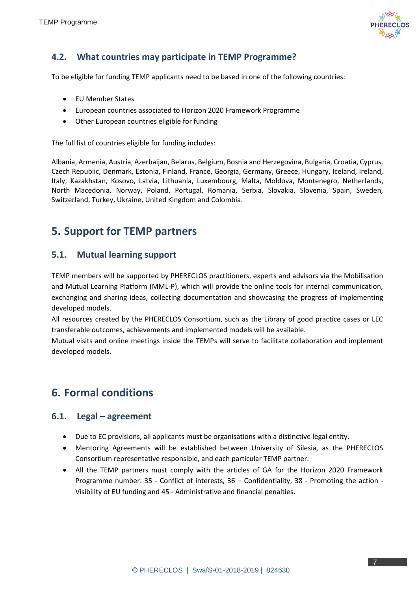

### **4.2. What countries may participate in TEMP Programme?**

To be eligible for funding TEMP applicants need to be based in one of the following countries:

- EU Member States
- European countries associated to Horizon 2020 Framework Programme
- Other European countries eligible for funding

The full list of countries eligible for funding includes:

Albania, Armenia, Austria, Azerbaijan, Belarus, Belgium, Bosnia and Herzegovina, Bulgaria, Croatia, Cyprus, Czech Republic, Denmark, Estonia, Finland, France, Georgia, Germany, Greece, Hungary, Iceland, Ireland, Italy, Kazakhstan, Kosovo, Latvia, Lithuania, Luxembourg, Malta, Moldova, Montenegro, Netherlands, North Macedonia, Norway, Poland, Portugal, Romania, Serbia, Slovakia, Slovenia, Spain, Sweden, Switzerland, Turkey, Ukraine, United Kingdom and Colombia.

## **5. Support for TEMP partners**

#### **5.1. Mutual learning support**

TEMP members will be supported by PHERECLOS practitioners, experts and advisors via the Mobilisation and Mutual Learning Platform (MML-P), which will provide the online tools for internal communication, exchanging and sharing ideas, collecting documentation and showcasing the progress of implementing developed models.

All resources created by the PHERECLOS Consortium, such as the Library of good practice cases or LEC transferable outcomes, achievements and implemented models will be available.

Mutual visits and online meetings inside the TEMPs will serve to facilitate collaboration and implement developed models.

# **6. Formal conditions**

#### **6.1. Legal – agreement**

- Due to EC provisions, all applicants must be organisations with a distinctive legal entity.
- Mentoring Agreements will be established between University of Silesia, as the PHERECLOS Consortium representative responsible, and each particular TEMP partner.
- All the TEMP partners must comply with the articles of GA for the Horizon 2020 Framework Programme number: 35 - Conflict of interests, 36 – Confidentiality, 38 - Promoting the action - Visibility of EU funding and 45 - Administrative and financial penalties.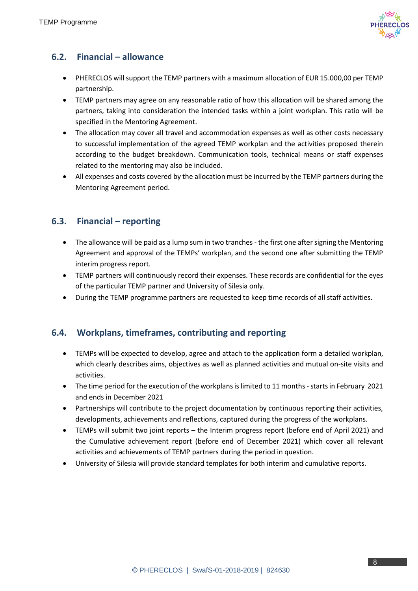

### **6.2. Financial – allowance**

- PHERECLOS will support the TEMP partners with a maximum allocation of EUR 15.000,00 per TEMP partnership.
- TEMP partners may agree on any reasonable ratio of how this allocation will be shared among the partners, taking into consideration the intended tasks within a joint workplan. This ratio will be specified in the Mentoring Agreement.
- The allocation may cover all travel and accommodation expenses as well as other costs necessary to successful implementation of the agreed TEMP workplan and the activities proposed therein according to the budget breakdown. Communication tools, technical means or staff expenses related to the mentoring may also be included.
- All expenses and costs covered by the allocation must be incurred by the TEMP partners during the Mentoring Agreement period.

#### **6.3. Financial – reporting**

- The allowance will be paid as a lump sum in two tranches the first one after signing the Mentoring Agreement and approval of the TEMPs' workplan, and the second one after submitting the TEMP interim progress report.
- TEMP partners will continuously record their expenses. These records are confidential for the eyes of the particular TEMP partner and University of Silesia only.
- During the TEMP programme partners are requested to keep time records of all staff activities.

### **6.4. Workplans, timeframes, contributing and reporting**

- TEMPs will be expected to develop, agree and attach to the application form a detailed workplan, which clearly describes aims, objectives as well as planned activities and mutual on-site visits and activities.
- The time period for the execution of the workplans is limited to 11 months starts in February 2021 and ends in December 2021
- Partnerships will contribute to the project documentation by continuous reporting their activities, developments, achievements and reflections, captured during the progress of the workplans.
- TEMPs will submit two joint reports the Interim progress report (before end of April 2021) and the Cumulative achievement report (before end of December 2021) which cover all relevant activities and achievements of TEMP partners during the period in question.
- University of Silesia will provide standard templates for both interim and cumulative reports.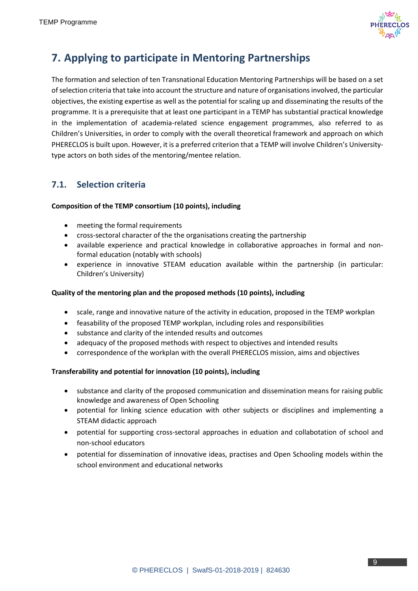

# **7. Applying to participate in Mentoring Partnerships**

The formation and selection of ten Transnational Education Mentoring Partnerships will be based on a set of selection criteria that take into account the structure and nature of organisations involved, the particular objectives, the existing expertise as well as the potential for scaling up and disseminating the results of the programme. It is a prerequisite that at least one participant in a TEMP has substantial practical knowledge in the implementation of academia-related science engagement programmes, also referred to as Children's Universities, in order to comply with the overall theoretical framework and approach on which PHERECLOS is built upon. However, it is a preferred criterion that a TEMP will involve Children's Universitytype actors on both sides of the mentoring/mentee relation.

### **7.1. Selection criteria**

#### **Composition of the TEMP consortium (10 points), including**

- meeting the formal requirements
- cross-sectoral character of the the organisations creating the partnership
- available experience and practical knowledge in collaborative approaches in formal and nonformal education (notably with schools)
- experience in innovative STEAM education available within the partnership (in particular: Children's University)

#### **Quality of the mentoring plan and the proposed methods (10 points), including**

- scale, range and innovative nature of the activity in education, proposed in the TEMP workplan
- feasability of the proposed TEMP workplan, including roles and responsibilities
- substance and clarity of the intended results and outcomes
- adequacy of the proposed methods with respect to objectives and intended results
- correspondence of the workplan with the overall PHERECLOS mission, aims and objectives

#### **Transferability and potential for innovation (10 points), including**

- substance and clarity of the proposed communication and dissemination means for raising public knowledge and awareness of Open Schooling
- potential for linking science education with other subjects or disciplines and implementing a STEAM didactic approach
- potential for supporting cross-sectoral approaches in eduation and collabotation of school and non-school educators
- potential for dissemination of innovative ideas, practises and Open Schooling models within the school environment and educational networks